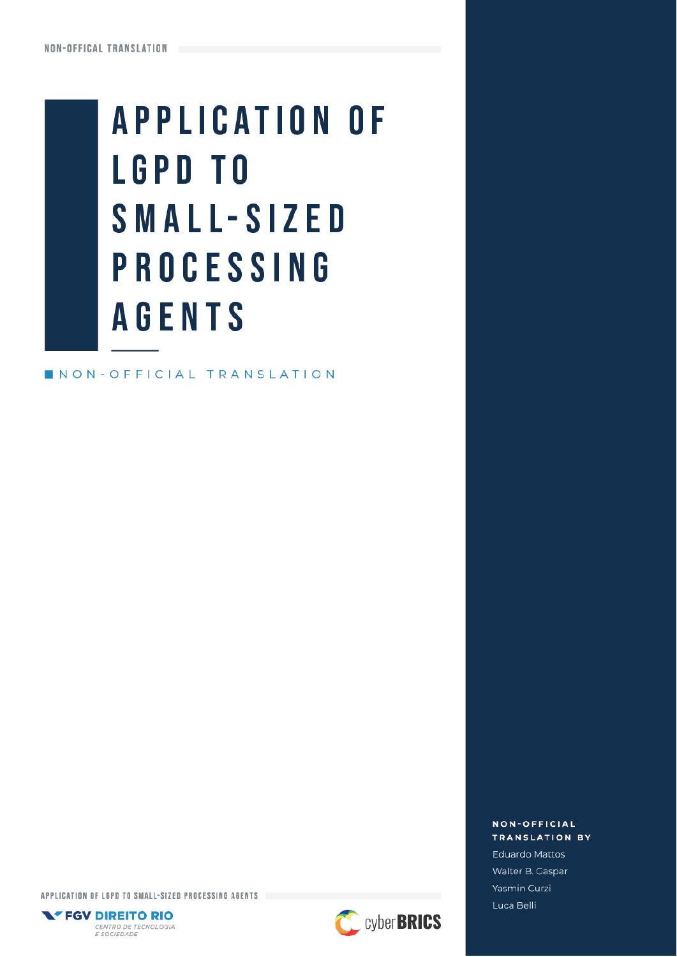# **APPLICATION OF LGPD TO** SMALL-SIZED **PROCESSING AGENTS**

NON-OFFICIAL TRANSLATION

NON-OFFICIAL **TRANSLATION BY** Eduardo Mattos Walter B. Gaspar Yasmin Curzi Luca Belli

APPLICATION OF LGPD TO SMALL-SIZED PROCESSING AGENTS



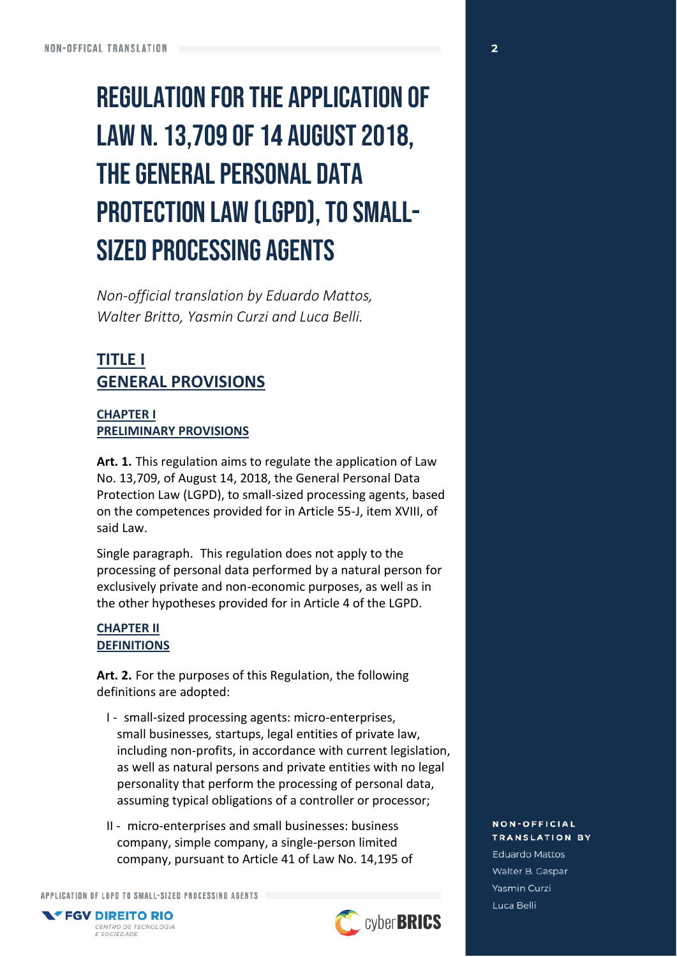## **REGULATION FOR THE APPLICATION OF** LAW N. 13,709 OF 14 AUGUST 2018, **THE GENERAL PERSONAL DATA PROTECTION LAW (LGPD), TO SMALL-SIZED PROCESSING AGENTS**

*Non-official translation by Eduardo Mattos, Walter Britto, Yasmin Curzi and Luca Belli.*

## **TITLE I GENERAL PROVISIONS**

#### **CHAPTER I PRELIMINARY PROVISIONS**

**Art. 1.** This regulation aims to regulate the application of Law No. 13,709, of August 14, 2018, the General Personal Data Protection Law (LGPD), to small-sized processing agents, based on the competences provided for in Article 55-J, item XVIII, of said Law.

Single paragraph. This regulation does not apply to the processing of personal data performed by a natural person for exclusively private and non-economic purposes, as well as in the other hypotheses provided for in Article 4 of the LGPD.

#### **CHAPTER II DEFINITIONS**

**Art. 2.** For the purposes of this Regulation, the following definitions are adopted:

- I small-sized processing agents: micro-enterprises, small businesses*,* startups, legal entities of private law, including non-profits, in accordance with current legislation, as well as natural persons and private entities with no legal personality that perform the processing of personal data, assuming typical obligations of a controller or processor;
- II micro-enterprises and small businesses: business company, simple company, a single-person limited company, pursuant to Article 41 of Law No. 14,195 of

APPLICATION OF LGPD TO SMALL-SIZED PROCESSING AGENTS



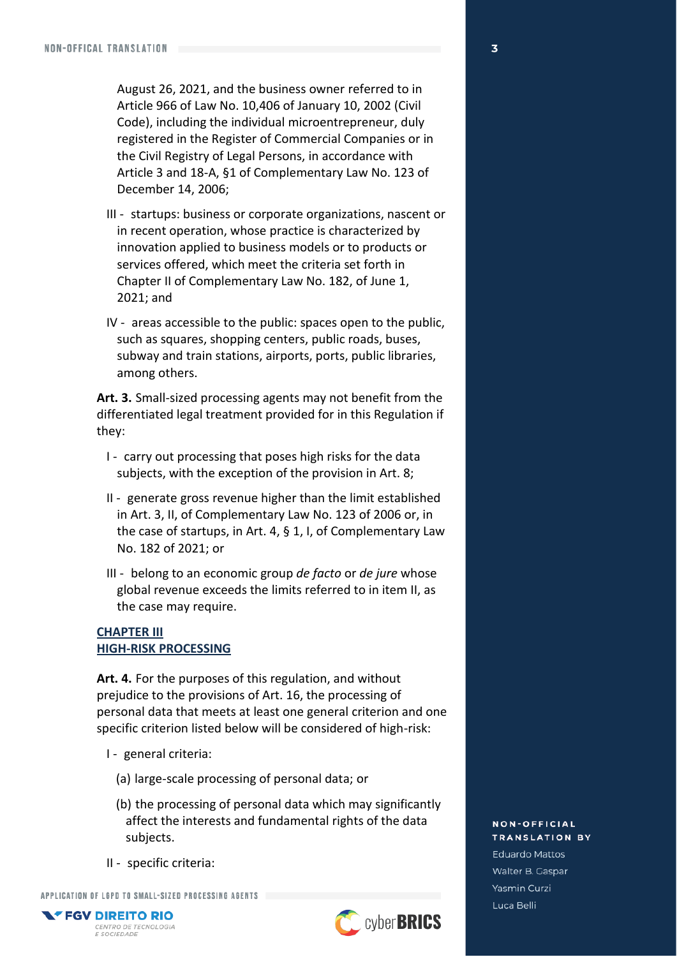August 26, 2021, and the business owner referred to in Article 966 of Law No. 10,406 of January 10, 2002 (Civil Code), including the individual microentrepreneur, duly registered in the Register of Commercial Companies or in the Civil Registry of Legal Persons, in accordance with Article 3 and 18-A, §1 of Complementary Law No. 123 of December 14, 2006;

- III startups: business or corporate organizations, nascent or in recent operation, whose practice is characterized by innovation applied to business models or to products or services offered, which meet the criteria set forth in Chapter II of Complementary Law No. 182, of June 1, 2021; and
- IV areas accessible to the public: spaces open to the public, such as squares, shopping centers, public roads, buses, subway and train stations, airports, ports, public libraries, among others.

**Art. 3.** Small-sized processing agents may not benefit from the differentiated legal treatment provided for in this Regulation if they:

- I carry out processing that poses high risks for the data subjects, with the exception of the provision in Art. 8;
- II generate gross revenue higher than the limit established in Art. 3, II, of Complementary Law No. 123 of 2006 or, in the case of startups, in Art. 4, § 1, I, of Complementary Law No. 182 of 2021; or
- III belong to an economic group *de facto* or *de jure* whose global revenue exceeds the limits referred to in item II, as the case may require.

#### **CHAPTER III HIGH-RISK PROCESSING**

**Art. 4.** For the purposes of this regulation, and without prejudice to the provisions of Art. 16, the processing of personal data that meets at least one general criterion and one specific criterion listed below will be considered of high-risk:

- I general criteria:
	- (a) large-scale processing of personal data; or
	- (b) the processing of personal data which may significantly affect the interests and fundamental rights of the data subjects.
- II specific criteria:

APPLICATION OF LGPD TO SMALL-SIZED PROCESSING AGENTS



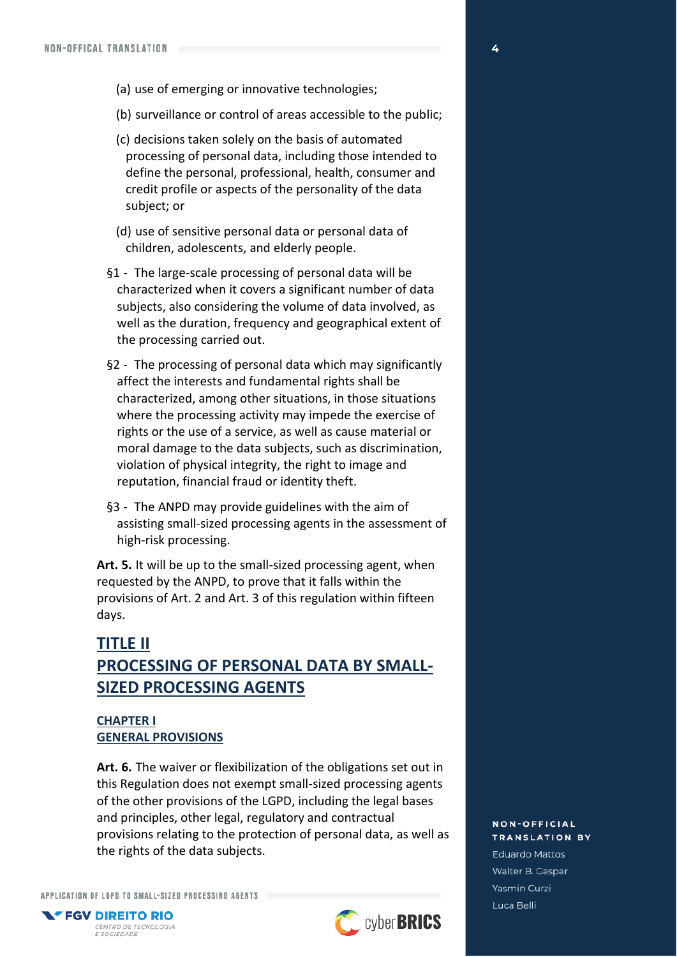- (a) use of emerging or innovative technologies;
- (b) surveillance or control of areas accessible to the public;
- (c) decisions taken solely on the basis of automated processing of personal data, including those intended to define the personal, professional, health, consumer and credit profile or aspects of the personality of the data subject; or
- (d) use of sensitive personal data or personal data of children, adolescents, and elderly people.
- §1 The large-scale processing of personal data will be characterized when it covers a significant number of data subjects, also considering the volume of data involved, as well as the duration, frequency and geographical extent of the processing carried out.
- §2 The processing of personal data which may significantly affect the interests and fundamental rights shall be characterized, among other situations, in those situations where the processing activity may impede the exercise of rights or the use of a service, as well as cause material or moral damage to the data subjects, such as discrimination, violation of physical integrity, the right to image and reputation, financial fraud or identity theft.
- §3 The ANPD may provide guidelines with the aim of assisting small-sized processing agents in the assessment of high-risk processing.

**Art. 5.** It will be up to the small-sized processing agent, when requested by the ANPD, to prove that it falls within the provisions of Art. 2 and Art. 3 of this regulation within fifteen days.

## **TITLE II PROCESSING OF PERSONAL DATA BY SMALL-SIZED PROCESSING AGENTS**

#### **CHAPTER I GENERAL PROVISIONS**

**Art. 6.** The waiver or flexibilization of the obligations set out in this Regulation does not exempt small-sized processing agents of the other provisions of the LGPD, including the legal bases and principles, other legal, regulatory and contractual provisions relating to the protection of personal data, as well as the rights of the data subjects.

APPLICATION OF LGPD TO SMALL-SIZED PROCESSING AGENTS

CENTRO DE TECNOLOGIA E SOCIEDADE

**NEGV DIREITO RIO** 



**NON-OFFICIAL TRANSLATION BY Eduardo Mattos** Walter B. Gaspar Yasmin Curzi Luca Belli

4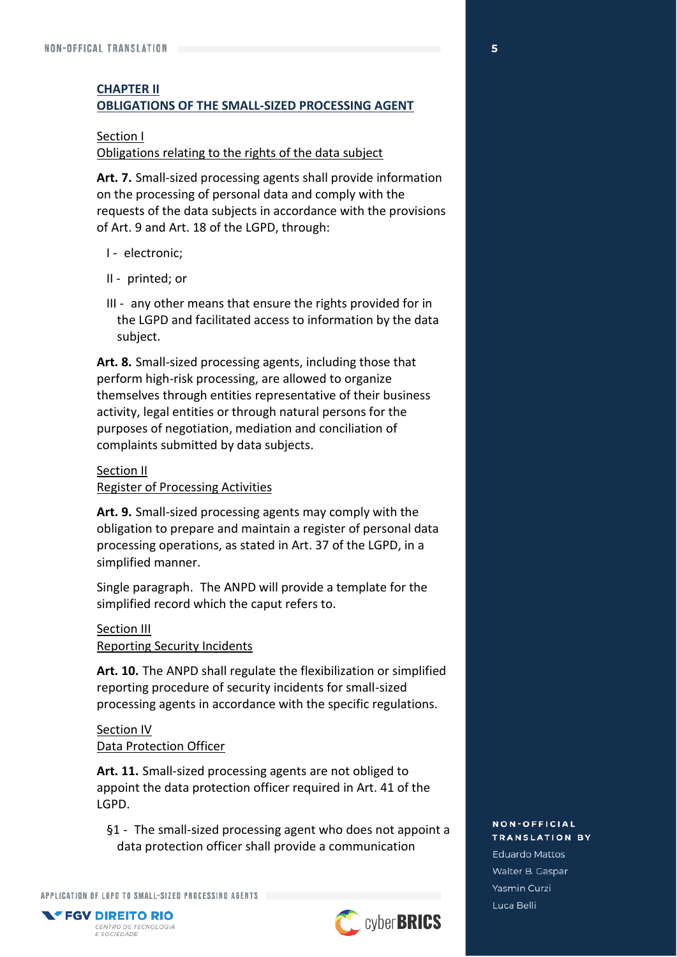#### **CHAPTER II OBLIGATIONS OF THE SMALL-SIZED PROCESSING AGENT**

#### Section I

#### Obligations relating to the rights of the data subject

**Art. 7.** Small-sized processing agents shall provide information on the processing of personal data and comply with the requests of the data subjects in accordance with the provisions of Art. 9 and Art. 18 of the LGPD, through:

- I electronic;
- II printed; or
- III any other means that ensure the rights provided for in the LGPD and facilitated access to information by the data subject.

**Art. 8.** Small-sized processing agents, including those that perform high-risk processing, are allowed to organize themselves through entities representative of their business activity, legal entities or through natural persons for the purposes of negotiation, mediation and conciliation of complaints submitted by data subjects.

#### Section II

Register of Processing Activities

**Art. 9.** Small-sized processing agents may comply with the obligation to prepare and maintain a register of personal data processing operations, as stated in Art. 37 of the LGPD, in a simplified manner.

Single paragraph. The ANPD will provide a template for the simplified record which the caput refers to.

## Section III

Reporting Security Incidents

**Art. 10.** The ANPD shall regulate the flexibilization or simplified reporting procedure of security incidents for small-sized processing agents in accordance with the specific regulations.

#### Section IV Data Protection Officer

**Art. 11.** Small-sized processing agents are not obliged to appoint the data protection officer required in Art. 41 of the LGPD.

§1 - The small-sized processing agent who does not appoint a data protection officer shall provide a communication

APPLICATION OF LGPD TO SMALL-SIZED PROCESSING AGENTS



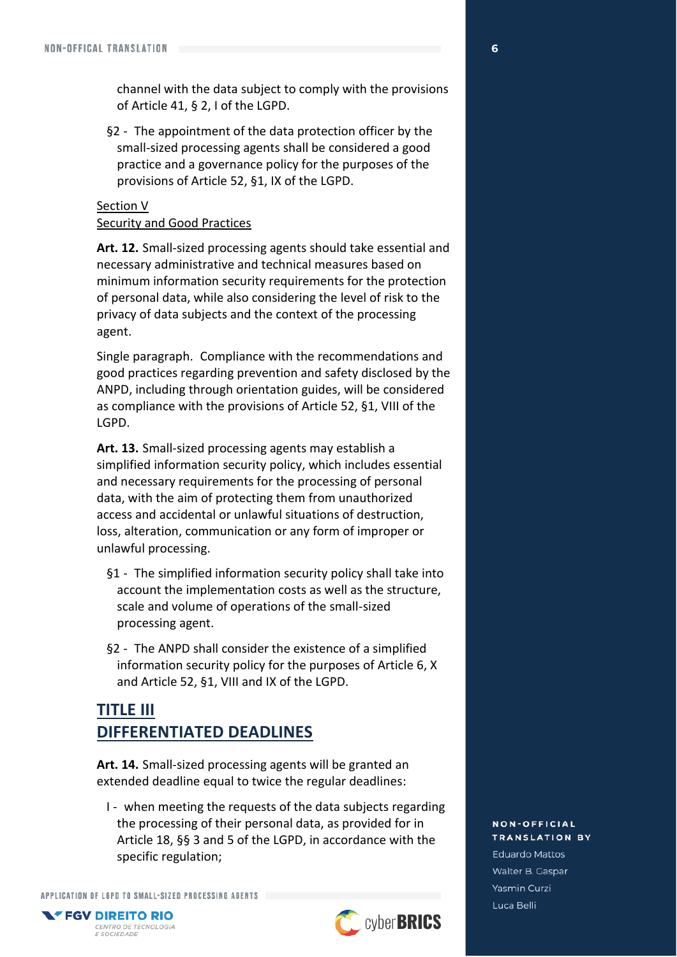channel with the data subject to comply with the provisions of Article 41, § 2, I of the LGPD.

§2 - The appointment of the data protection officer by the small-sized processing agents shall be considered a good practice and a governance policy for the purposes of the provisions of Article 52, §1, IX of the LGPD.

#### Section V Security and Good Practices

**Art. 12.** Small-sized processing agents should take essential and necessary administrative and technical measures based on minimum information security requirements for the protection of personal data, while also considering the level of risk to the privacy of data subjects and the context of the processing agent.

Single paragraph. Compliance with the recommendations and good practices regarding prevention and safety disclosed by the ANPD, including through orientation guides, will be considered as compliance with the provisions of Article 52, §1, VIII of the LGPD.

**Art. 13.** Small-sized processing agents may establish a simplified information security policy, which includes essential and necessary requirements for the processing of personal data, with the aim of protecting them from unauthorized access and accidental or unlawful situations of destruction, loss, alteration, communication or any form of improper or unlawful processing.

- §1 The simplified information security policy shall take into account the implementation costs as well as the structure, scale and volume of operations of the small-sized processing agent.
- §2 The ANPD shall consider the existence of a simplified information security policy for the purposes of Article 6, X and Article 52, §1, VIII and IX of the LGPD.

## **TITLE III DIFFERENTIATED DEADLINES**

**Art. 14.** Small-sized processing agents will be granted an extended deadline equal to twice the regular deadlines:

I - when meeting the requests of the data subjects regarding the processing of their personal data, as provided for in Article 18, §§ 3 and 5 of the LGPD, in accordance with the specific regulation;

APPLICATION OF LGPD TO SMALL-SIZED PROCESSING AGENTS